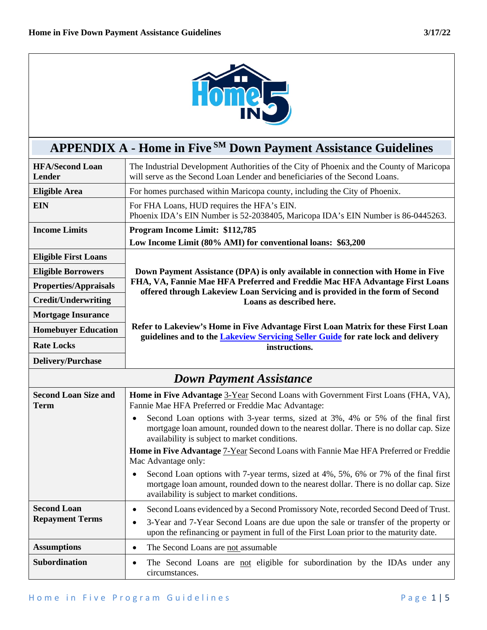

## **APPENDIX A - Home in Five SM Down Payment Assistance Guidelines**

| <b>HFA/Second Loan</b><br>Lender             | The Industrial Development Authorities of the City of Phoenix and the County of Maricopa<br>will serve as the Second Loan Lender and beneficiaries of the Second Loans.                                                                                                         |  |  |  |  |
|----------------------------------------------|---------------------------------------------------------------------------------------------------------------------------------------------------------------------------------------------------------------------------------------------------------------------------------|--|--|--|--|
| <b>Eligible Area</b>                         | For homes purchased within Maricopa county, including the City of Phoenix.                                                                                                                                                                                                      |  |  |  |  |
| <b>EIN</b>                                   | For FHA Loans, HUD requires the HFA's EIN.<br>Phoenix IDA's EIN Number is 52-2038405, Maricopa IDA's EIN Number is 86-0445263.                                                                                                                                                  |  |  |  |  |
| <b>Income Limits</b>                         | Program Income Limit: \$112,785                                                                                                                                                                                                                                                 |  |  |  |  |
|                                              | Low Income Limit (80% AMI) for conventional loans: \$63,200                                                                                                                                                                                                                     |  |  |  |  |
| <b>Eligible First Loans</b>                  |                                                                                                                                                                                                                                                                                 |  |  |  |  |
| <b>Eligible Borrowers</b>                    | Down Payment Assistance (DPA) is only available in connection with Home in Five                                                                                                                                                                                                 |  |  |  |  |
| <b>Properties/Appraisals</b>                 | FHA, VA, Fannie Mae HFA Preferred and Freddie Mac HFA Advantage First Loans<br>offered through Lakeview Loan Servicing and is provided in the form of Second                                                                                                                    |  |  |  |  |
| <b>Credit/Underwriting</b>                   | Loans as described here.                                                                                                                                                                                                                                                        |  |  |  |  |
| <b>Mortgage Insurance</b>                    |                                                                                                                                                                                                                                                                                 |  |  |  |  |
| <b>Homebuyer Education</b>                   | Refer to Lakeview's Home in Five Advantage First Loan Matrix for these First Loan<br>guidelines and to the <b>Lakeview Servicing Seller Guide</b> for rate lock and delivery                                                                                                    |  |  |  |  |
| <b>Rate Locks</b>                            | instructions.                                                                                                                                                                                                                                                                   |  |  |  |  |
| <b>Delivery/Purchase</b>                     |                                                                                                                                                                                                                                                                                 |  |  |  |  |
|                                              |                                                                                                                                                                                                                                                                                 |  |  |  |  |
|                                              | <b>Down Payment Assistance</b>                                                                                                                                                                                                                                                  |  |  |  |  |
| <b>Second Loan Size and</b><br><b>Term</b>   | Home in Five Advantage 3-Year Second Loans with Government First Loans (FHA, VA),<br>Fannie Mae HFA Preferred or Freddie Mac Advantage:                                                                                                                                         |  |  |  |  |
|                                              | Second Loan options with 3-year terms, sized at 3%, 4% or 5% of the final first<br>$\bullet$<br>mortgage loan amount, rounded down to the nearest dollar. There is no dollar cap. Size<br>availability is subject to market conditions.                                         |  |  |  |  |
|                                              | Home in Five Advantage 7-Year Second Loans with Fannie Mae HFA Preferred or Freddie<br>Mac Advantage only:                                                                                                                                                                      |  |  |  |  |
|                                              | Second Loan options with 7-year terms, sized at 4%, 5%, 6% or 7% of the final first<br>$\bullet$<br>mortgage loan amount, rounded down to the nearest dollar. There is no dollar cap. Size<br>availability is subject to market conditions.                                     |  |  |  |  |
| <b>Second Loan</b><br><b>Repayment Terms</b> | Second Loans evidenced by a Second Promissory Note, recorded Second Deed of Trust.<br>$\bullet$<br>3-Year and 7-Year Second Loans are due upon the sale or transfer of the property or<br>upon the refinancing or payment in full of the First Loan prior to the maturity date. |  |  |  |  |
| <b>Assumptions</b>                           | The Second Loans are not assumable<br>$\bullet$                                                                                                                                                                                                                                 |  |  |  |  |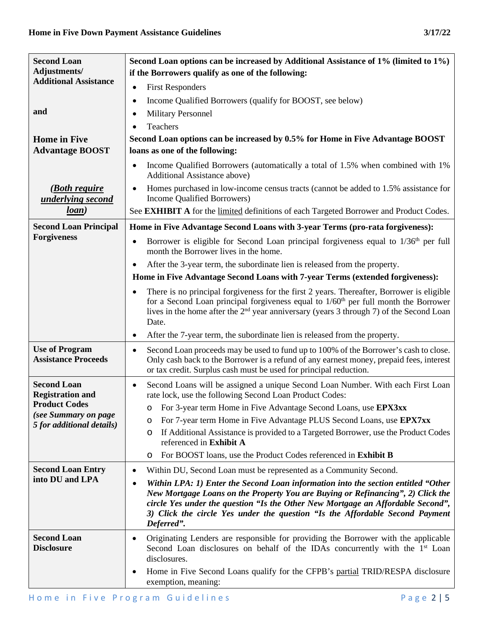| <b>Second Loan</b><br>Adjustments/                  | Second Loan options can be increased by Additional Assistance of 1% (limited to 1%)<br>if the Borrowers qualify as one of the following:                                                                                                                                                                                                                           |
|-----------------------------------------------------|--------------------------------------------------------------------------------------------------------------------------------------------------------------------------------------------------------------------------------------------------------------------------------------------------------------------------------------------------------------------|
| <b>Additional Assistance</b>                        | <b>First Responders</b><br>$\bullet$                                                                                                                                                                                                                                                                                                                               |
|                                                     | Income Qualified Borrowers (qualify for BOOST, see below)<br>$\bullet$                                                                                                                                                                                                                                                                                             |
| and                                                 | <b>Military Personnel</b><br>$\bullet$                                                                                                                                                                                                                                                                                                                             |
|                                                     | Teachers                                                                                                                                                                                                                                                                                                                                                           |
| <b>Home</b> in Five                                 | Second Loan options can be increased by 0.5% for Home in Five Advantage BOOST                                                                                                                                                                                                                                                                                      |
| <b>Advantage BOOST</b>                              | loans as one of the following:                                                                                                                                                                                                                                                                                                                                     |
|                                                     | Income Qualified Borrowers (automatically a total of 1.5% when combined with 1%<br>$\bullet$<br>Additional Assistance above)                                                                                                                                                                                                                                       |
| <u>(Both require</u><br>underlying second           | Homes purchased in low-income census tracts (cannot be added to 1.5% assistance for<br>$\bullet$<br>Income Qualified Borrowers)                                                                                                                                                                                                                                    |
| loan)                                               | See <b>EXHIBIT A</b> for the limited definitions of each Targeted Borrower and Product Codes.                                                                                                                                                                                                                                                                      |
| <b>Second Loan Principal</b>                        | Home in Five Advantage Second Loans with 3-year Terms (pro-rata forgiveness):                                                                                                                                                                                                                                                                                      |
| <b>Forgiveness</b>                                  | Borrower is eligible for Second Loan principal forgiveness equal to 1/36 <sup>th</sup> per full<br>$\bullet$<br>month the Borrower lives in the home.                                                                                                                                                                                                              |
|                                                     | After the 3-year term, the subordinate lien is released from the property.<br>$\bullet$                                                                                                                                                                                                                                                                            |
|                                                     | Home in Five Advantage Second Loans with 7-year Terms (extended forgiveness):                                                                                                                                                                                                                                                                                      |
|                                                     | There is no principal forgiveness for the first 2 years. Thereafter, Borrower is eligible<br>$\bullet$<br>for a Second Loan principal forgiveness equal to $1/60th$ per full month the Borrower<br>lives in the home after the $2nd$ year anniversary (years 3 through 7) of the Second Loan<br>Date.                                                              |
|                                                     | After the 7-year term, the subordinate lien is released from the property.<br>$\bullet$                                                                                                                                                                                                                                                                            |
| <b>Use of Program</b><br><b>Assistance Proceeds</b> | Second Loan proceeds may be used to fund up to 100% of the Borrower's cash to close.<br>$\bullet$<br>Only cash back to the Borrower is a refund of any earnest money, prepaid fees, interest<br>or tax credit. Surplus cash must be used for principal reduction.                                                                                                  |
| <b>Second Loan</b><br><b>Registration and</b>       | Second Loans will be assigned a unique Second Loan Number. With each First Loan<br>$\bullet$<br>rate lock, use the following Second Loan Product Codes:                                                                                                                                                                                                            |
| <b>Product Codes</b><br>(see Summary on page        | For 3-year term Home in Five Advantage Second Loans, use EPX3xx<br>$\circ$                                                                                                                                                                                                                                                                                         |
| 5 for additional details)                           | For 7-year term Home in Five Advantage PLUS Second Loans, use EPX7xx<br>O                                                                                                                                                                                                                                                                                          |
|                                                     | If Additional Assistance is provided to a Targeted Borrower, use the Product Codes<br>O<br>referenced in Exhibit A                                                                                                                                                                                                                                                 |
|                                                     | For BOOST loans, use the Product Codes referenced in Exhibit B<br>O                                                                                                                                                                                                                                                                                                |
| <b>Second Loan Entry</b>                            | Within DU, Second Loan must be represented as a Community Second.<br>٠                                                                                                                                                                                                                                                                                             |
| into DU and LPA                                     | Within LPA: 1) Enter the Second Loan information into the section entitled "Other<br>$\bullet$<br>New Mortgage Loans on the Property You are Buying or Refinancing", 2) Click the<br>circle Yes under the question "Is the Other New Mortgage an Affordable Second",<br>3) Click the circle Yes under the question "Is the Affordable Second Payment<br>Deferred". |
| <b>Second Loan</b><br><b>Disclosure</b>             | Originating Lenders are responsible for providing the Borrower with the applicable<br>$\bullet$<br>Second Loan disclosures on behalf of the IDAs concurrently with the 1 <sup>st</sup> Loan<br>disclosures.                                                                                                                                                        |
|                                                     | Home in Five Second Loans qualify for the CFPB's partial TRID/RESPA disclosure<br>$\bullet$<br>exemption, meaning:                                                                                                                                                                                                                                                 |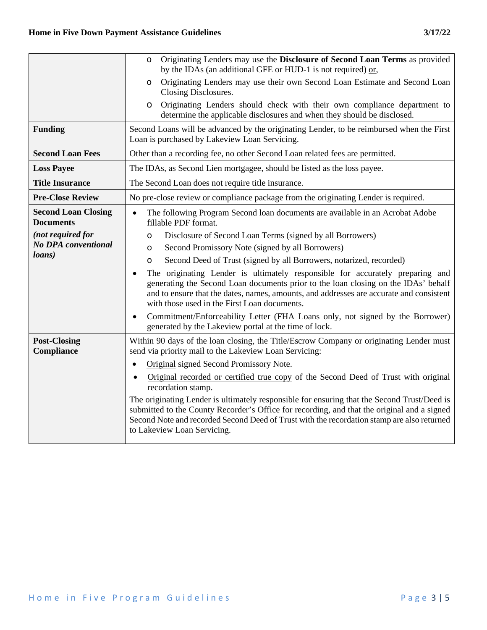|                                                | Originating Lenders may use the Disclosure of Second Loan Terms as provided<br>$\circ$<br>by the IDAs (an additional GFE or HUD-1 is not required) or,                                                                                                                                                                      |
|------------------------------------------------|-----------------------------------------------------------------------------------------------------------------------------------------------------------------------------------------------------------------------------------------------------------------------------------------------------------------------------|
|                                                | Originating Lenders may use their own Second Loan Estimate and Second Loan<br>$\circ$<br>Closing Disclosures.                                                                                                                                                                                                               |
|                                                | Originating Lenders should check with their own compliance department to<br>$\circ$<br>determine the applicable disclosures and when they should be disclosed.                                                                                                                                                              |
| <b>Funding</b>                                 | Second Loans will be advanced by the originating Lender, to be reimbursed when the First<br>Loan is purchased by Lakeview Loan Servicing.                                                                                                                                                                                   |
| <b>Second Loan Fees</b>                        | Other than a recording fee, no other Second Loan related fees are permitted.                                                                                                                                                                                                                                                |
| <b>Loss Payee</b>                              | The IDAs, as Second Lien mortgagee, should be listed as the loss payee.                                                                                                                                                                                                                                                     |
| <b>Title Insurance</b>                         | The Second Loan does not require title insurance.                                                                                                                                                                                                                                                                           |
| <b>Pre-Close Review</b>                        | No pre-close review or compliance package from the originating Lender is required.                                                                                                                                                                                                                                          |
| <b>Second Loan Closing</b><br><b>Documents</b> | The following Program Second loan documents are available in an Acrobat Adobe<br>$\bullet$<br>fillable PDF format.                                                                                                                                                                                                          |
| (not required for                              | Disclosure of Second Loan Terms (signed by all Borrowers)<br>O                                                                                                                                                                                                                                                              |
| <b>No DPA</b> conventional<br>loans)           | Second Promissory Note (signed by all Borrowers)<br>O                                                                                                                                                                                                                                                                       |
|                                                | Second Deed of Trust (signed by all Borrowers, notarized, recorded)<br>$\circ$                                                                                                                                                                                                                                              |
|                                                | The originating Lender is ultimately responsible for accurately preparing and<br>$\bullet$<br>generating the Second Loan documents prior to the loan closing on the IDAs' behalf<br>and to ensure that the dates, names, amounts, and addresses are accurate and consistent<br>with those used in the First Loan documents. |
|                                                | Commitment/Enforceability Letter (FHA Loans only, not signed by the Borrower)<br>$\bullet$<br>generated by the Lakeview portal at the time of lock.                                                                                                                                                                         |
| <b>Post-Closing</b><br>Compliance              | Within 90 days of the loan closing, the Title/Escrow Company or originating Lender must<br>send via priority mail to the Lakeview Loan Servicing:                                                                                                                                                                           |
|                                                | Original signed Second Promissory Note.<br>$\bullet$                                                                                                                                                                                                                                                                        |
|                                                | Original recorded or certified true copy of the Second Deed of Trust with original<br>recordation stamp.                                                                                                                                                                                                                    |
|                                                | The originating Lender is ultimately responsible for ensuring that the Second Trust/Deed is<br>submitted to the County Recorder's Office for recording, and that the original and a signed<br>Second Note and recorded Second Deed of Trust with the recordation stamp are also returned<br>to Lakeview Loan Servicing.     |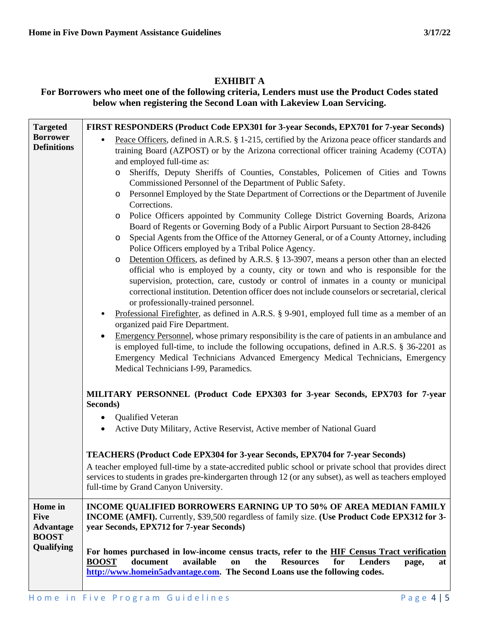## **EXHIBIT A**

## **For Borrowers who meet one of the following criteria, Lenders must use the Product Codes stated below when registering the Second Loan with Lakeview Loan Servicing.**

| <b>Targeted</b>                                            | FIRST RESPONDERS (Product Code EPX301 for 3-year Seconds, EPX701 for 7-year Seconds)                                                                                                                                                                                                                                                                                                                                                                                                                                                                                                                                                                                                                                                                                                                                                                                                                                                                                                                                                                                                                                                                                                                                                                                                                                                                                                                                                                                                                                                                                                                                                                                                                                                                                                                                                              |
|------------------------------------------------------------|---------------------------------------------------------------------------------------------------------------------------------------------------------------------------------------------------------------------------------------------------------------------------------------------------------------------------------------------------------------------------------------------------------------------------------------------------------------------------------------------------------------------------------------------------------------------------------------------------------------------------------------------------------------------------------------------------------------------------------------------------------------------------------------------------------------------------------------------------------------------------------------------------------------------------------------------------------------------------------------------------------------------------------------------------------------------------------------------------------------------------------------------------------------------------------------------------------------------------------------------------------------------------------------------------------------------------------------------------------------------------------------------------------------------------------------------------------------------------------------------------------------------------------------------------------------------------------------------------------------------------------------------------------------------------------------------------------------------------------------------------------------------------------------------------------------------------------------------------|
| <b>Borrower</b><br><b>Definitions</b>                      | Peace Officers, defined in A.R.S. § 1-215, certified by the Arizona peace officer standards and<br>training Board (AZPOST) or by the Arizona correctional officer training Academy (COTA)<br>and employed full-time as:<br>Sheriffs, Deputy Sheriffs of Counties, Constables, Policemen of Cities and Towns<br>$\circ$<br>Commissioned Personnel of the Department of Public Safety.<br>Personnel Employed by the State Department of Corrections or the Department of Juvenile<br>O<br>Corrections.<br>Police Officers appointed by Community College District Governing Boards, Arizona<br>$\circ$<br>Board of Regents or Governing Body of a Public Airport Pursuant to Section 28-8426<br>Special Agents from the Office of the Attorney General, or of a County Attorney, including<br>O<br>Police Officers employed by a Tribal Police Agency.<br>Detention Officers, as defined by A.R.S. § 13-3907, means a person other than an elected<br>$\circ$<br>official who is employed by a county, city or town and who is responsible for the<br>supervision, protection, care, custody or control of inmates in a county or municipal<br>correctional institution. Detention officer does not include counselors or secretarial, clerical<br>or professionally-trained personnel.<br>Professional Firefighter, as defined in A.R.S. § 9-901, employed full time as a member of an<br>organized paid Fire Department.<br>Emergency Personnel, whose primary responsibility is the care of patients in an ambulance and<br>is employed full-time, to include the following occupations, defined in A.R.S. § 36-2201 as<br>Emergency Medical Technicians Advanced Emergency Medical Technicians, Emergency<br>Medical Technicians I-99, Paramedics.<br>MILITARY PERSONNEL (Product Code EPX303 for 3-year Seconds, EPX703 for 7-year<br>Seconds) |
|                                                            | <b>Qualified Veteran</b><br>Active Duty Military, Active Reservist, Active member of National Guard                                                                                                                                                                                                                                                                                                                                                                                                                                                                                                                                                                                                                                                                                                                                                                                                                                                                                                                                                                                                                                                                                                                                                                                                                                                                                                                                                                                                                                                                                                                                                                                                                                                                                                                                               |
|                                                            | <b>TEACHERS (Product Code EPX304 for 3-year Seconds, EPX704 for 7-year Seconds)</b><br>A teacher employed full-time by a state-accredited public school or private school that provides direct<br>services to students in grades pre-kindergarten through 12 (or any subset), as well as teachers employed<br>full-time by Grand Canyon University.                                                                                                                                                                                                                                                                                                                                                                                                                                                                                                                                                                                                                                                                                                                                                                                                                                                                                                                                                                                                                                                                                                                                                                                                                                                                                                                                                                                                                                                                                               |
| Home in<br><b>Five</b><br><b>Advantage</b><br><b>BOOST</b> | INCOME QUALIFIED BORROWERS EARNING UP TO 50% OF AREA MEDIAN FAMILY<br>INCOME (AMFI). Currently, \$39,500 regardless of family size. (Use Product Code EPX312 for 3-<br>year Seconds, EPX712 for 7-year Seconds)                                                                                                                                                                                                                                                                                                                                                                                                                                                                                                                                                                                                                                                                                                                                                                                                                                                                                                                                                                                                                                                                                                                                                                                                                                                                                                                                                                                                                                                                                                                                                                                                                                   |
| Qualifying                                                 | For homes purchased in low-income census tracts, refer to the HIF Census Tract verification<br>document<br>available<br><b>Resources</b><br><b>Lenders</b><br><b>BOOST</b><br>on<br>the<br>for<br>page,<br>at<br>http://www.homein5advantage.com. The Second Loans use the following codes.                                                                                                                                                                                                                                                                                                                                                                                                                                                                                                                                                                                                                                                                                                                                                                                                                                                                                                                                                                                                                                                                                                                                                                                                                                                                                                                                                                                                                                                                                                                                                       |